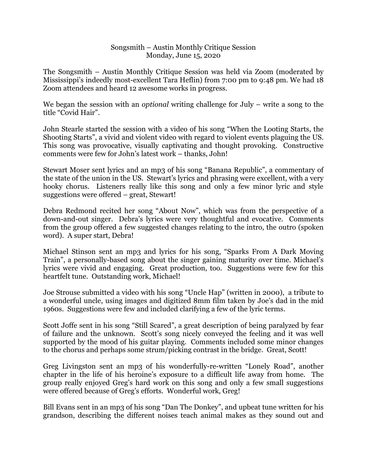## Songsmith – Austin Monthly Critique Session Monday, June 15, 2020

The Songsmith – Austin Monthly Critique Session was held via Zoom (moderated by Mississippi's indeedly most-excellent Tara Heflin) from 7:00 pm to 9:48 pm. We had 18 Zoom attendees and heard 12 awesome works in progress.

We began the session with an *optional* writing challenge for July – write a song to the title "Covid Hair".

John Stearle started the session with a video of his song "When the Looting Starts, the Shooting Starts", a vivid and violent video with regard to violent events plaguing the US. This song was provocative, visually captivating and thought provoking. Constructive comments were few for John's latest work – thanks, John!

Stewart Moser sent lyrics and an mp3 of his song "Banana Republic", a commentary of the state of the union in the US. Stewart's lyrics and phrasing were excellent, with a very hooky chorus. Listeners really like this song and only a few minor lyric and style suggestions were offered – great, Stewart!

Debra Redmond recited her song "About Now", which was from the perspective of a down-and-out singer. Debra's lyrics were very thoughtful and evocative. Comments from the group offered a few suggested changes relating to the intro, the outro (spoken word). A super start, Debra!

Michael Stinson sent an mp3 and lyrics for his song, "Sparks From A Dark Moving Train", a personally-based song about the singer gaining maturity over time. Michael's lyrics were vivid and engaging. Great production, too. Suggestions were few for this heartfelt tune. Outstanding work, Michael!

Joe Strouse submitted a video with his song "Uncle Hap" (written in 2000), a tribute to a wonderful uncle, using images and digitized 8mm film taken by Joe's dad in the mid 1960s. Suggestions were few and included clarifying a few of the lyric terms.

Scott Joffe sent in his song "Still Scared", a great description of being paralyzed by fear of failure and the unknown. Scott's song nicely conveyed the feeling and it was well supported by the mood of his guitar playing. Comments included some minor changes to the chorus and perhaps some strum/picking contrast in the bridge. Great, Scott!

Greg Livingston sent an mp3 of his wonderfully-re-written "Lonely Road", another chapter in the life of his heroine's exposure to a difficult life away from home. The group really enjoyed Greg's hard work on this song and only a few small suggestions were offered because of Greg's efforts. Wonderful work, Greg!

Bill Evans sent in an mp3 of his song "Dan The Donkey", and upbeat tune written for his grandson, describing the different noises teach animal makes as they sound out and